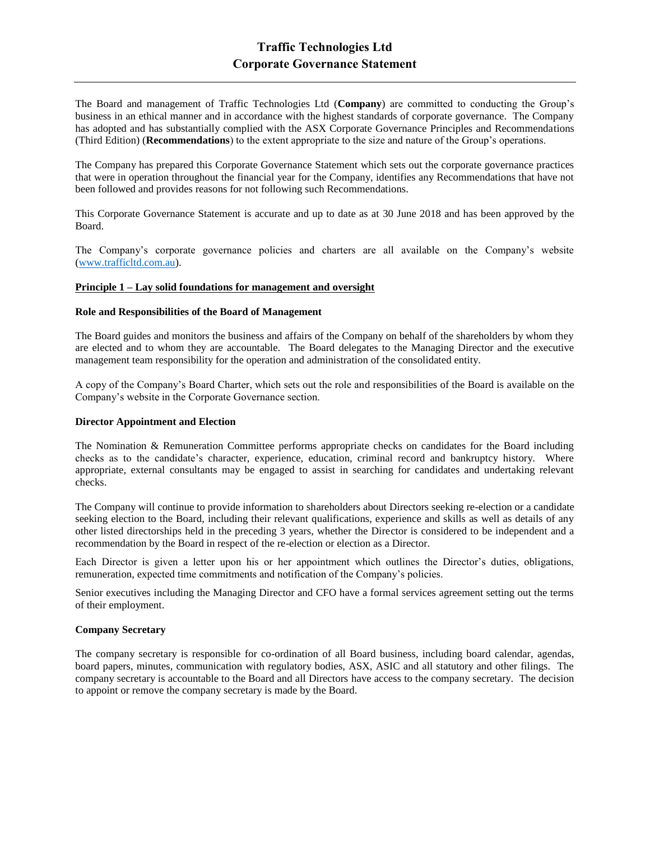The Board and management of Traffic Technologies Ltd (**Company**) are committed to conducting the Group's business in an ethical manner and in accordance with the highest standards of corporate governance. The Company has adopted and has substantially complied with the ASX Corporate Governance Principles and Recommendations (Third Edition) (**Recommendations**) to the extent appropriate to the size and nature of the Group's operations.

The Company has prepared this Corporate Governance Statement which sets out the corporate governance practices that were in operation throughout the financial year for the Company, identifies any Recommendations that have not been followed and provides reasons for not following such Recommendations.

This Corporate Governance Statement is accurate and up to date as at 30 June 2018 and has been approved by the Board.

The Company's corporate governance policies and charters are all available on the Company's website [\(www.trafficltd.com.au\)](http://www.trafficltd.com.au/).

#### **Principle 1 – Lay solid foundations for management and oversight**

## **Role and Responsibilities of the Board of Management**

The Board guides and monitors the business and affairs of the Company on behalf of the shareholders by whom they are elected and to whom they are accountable. The Board delegates to the Managing Director and the executive management team responsibility for the operation and administration of the consolidated entity.

A copy of the Company's Board Charter, which sets out the role and responsibilities of the Board is available on the Company's website in the Corporate Governance section.

### **Director Appointment and Election**

The Nomination & Remuneration Committee performs appropriate checks on candidates for the Board including checks as to the candidate's character, experience, education, criminal record and bankruptcy history. Where appropriate, external consultants may be engaged to assist in searching for candidates and undertaking relevant checks.

The Company will continue to provide information to shareholders about Directors seeking re-election or a candidate seeking election to the Board, including their relevant qualifications, experience and skills as well as details of any other listed directorships held in the preceding 3 years, whether the Director is considered to be independent and a recommendation by the Board in respect of the re-election or election as a Director.

Each Director is given a letter upon his or her appointment which outlines the Director's duties, obligations, remuneration, expected time commitments and notification of the Company's policies.

Senior executives including the Managing Director and CFO have a formal services agreement setting out the terms of their employment.

#### **Company Secretary**

The company secretary is responsible for co-ordination of all Board business, including board calendar, agendas, board papers, minutes, communication with regulatory bodies, ASX, ASIC and all statutory and other filings. The company secretary is accountable to the Board and all Directors have access to the company secretary. The decision to appoint or remove the company secretary is made by the Board.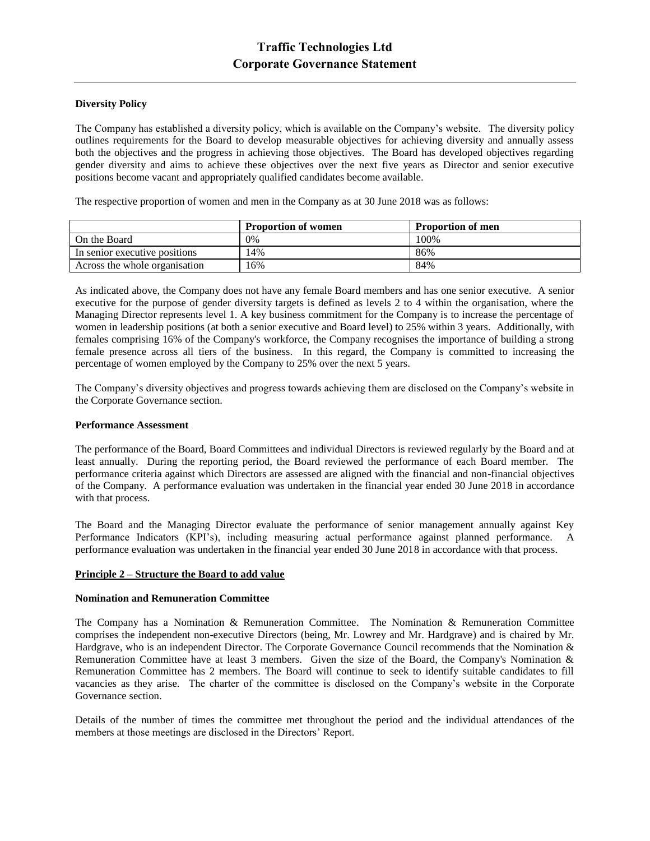# **Diversity Policy**

The Company has established a diversity policy, which is available on the Company's website. The diversity policy outlines requirements for the Board to develop measurable objectives for achieving diversity and annually assess both the objectives and the progress in achieving those objectives. The Board has developed objectives regarding gender diversity and aims to achieve these objectives over the next five years as Director and senior executive positions become vacant and appropriately qualified candidates become available.

The respective proportion of women and men in the Company as at 30 June 2018 was as follows:

|                               | <b>Proportion of women</b> | <b>Proportion of men</b> |
|-------------------------------|----------------------------|--------------------------|
| On the Board                  | 0%                         | 100\%                    |
| In senior executive positions | .4%                        | 86%                      |
| Across the whole organisation | 6%                         | 84%                      |

As indicated above, the Company does not have any female Board members and has one senior executive. A senior executive for the purpose of gender diversity targets is defined as levels 2 to 4 within the organisation, where the Managing Director represents level 1. A key business commitment for the Company is to increase the percentage of women in leadership positions (at both a senior executive and Board level) to 25% within 3 years. Additionally, with females comprising 16% of the Company's workforce, the Company recognises the importance of building a strong female presence across all tiers of the business. In this regard, the Company is committed to increasing the percentage of women employed by the Company to 25% over the next 5 years.

The Company's diversity objectives and progress towards achieving them are disclosed on the Company's website in the Corporate Governance section.

#### **Performance Assessment**

The performance of the Board, Board Committees and individual Directors is reviewed regularly by the Board and at least annually. During the reporting period, the Board reviewed the performance of each Board member. The performance criteria against which Directors are assessed are aligned with the financial and non-financial objectives of the Company. A performance evaluation was undertaken in the financial year ended 30 June 2018 in accordance with that process.

The Board and the Managing Director evaluate the performance of senior management annually against Key Performance Indicators (KPI's), including measuring actual performance against planned performance. A performance evaluation was undertaken in the financial year ended 30 June 2018 in accordance with that process.

#### **Principle 2 – Structure the Board to add value**

#### **Nomination and Remuneration Committee**

The Company has a Nomination & Remuneration Committee. The Nomination & Remuneration Committee comprises the independent non-executive Directors (being, Mr. Lowrey and Mr. Hardgrave) and is chaired by Mr. Hardgrave, who is an independent Director. The Corporate Governance Council recommends that the Nomination & Remuneration Committee have at least 3 members. Given the size of the Board, the Company's Nomination & Remuneration Committee has 2 members. The Board will continue to seek to identify suitable candidates to fill vacancies as they arise. The charter of the committee is disclosed on the Company's website in the Corporate Governance section.

Details of the number of times the committee met throughout the period and the individual attendances of the members at those meetings are disclosed in the Directors' Report.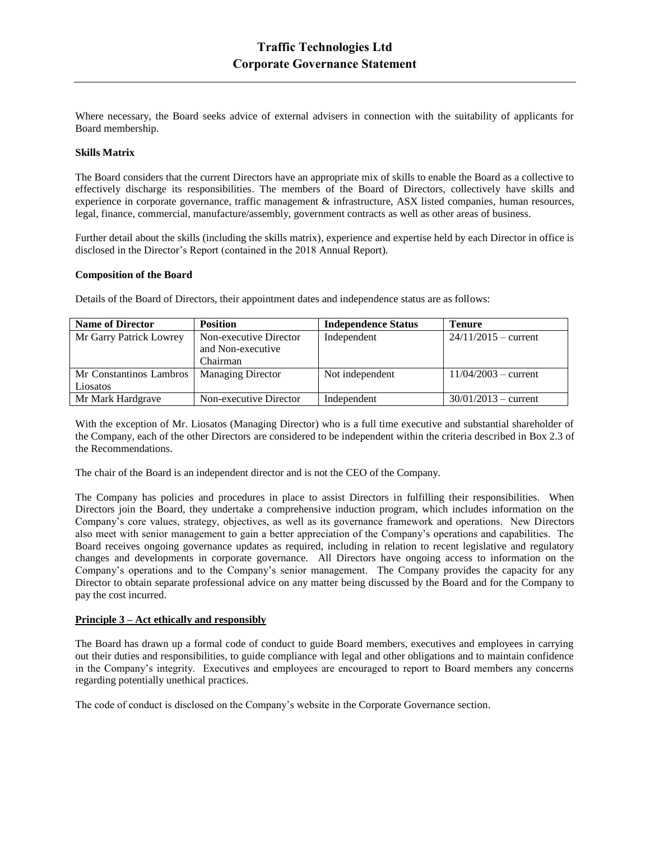Where necessary, the Board seeks advice of external advisers in connection with the suitability of applicants for Board membership.

### **Skills Matrix**

The Board considers that the current Directors have an appropriate mix of skills to enable the Board as a collective to effectively discharge its responsibilities. The members of the Board of Directors, collectively have skills and experience in corporate governance, traffic management & infrastructure, ASX listed companies, human resources, legal, finance, commercial, manufacture/assembly, government contracts as well as other areas of business.

Further detail about the skills (including the skills matrix), experience and expertise held by each Director in office is disclosed in the Director's Report (contained in the 2018 Annual Report).

#### **Composition of the Board**

Details of the Board of Directors, their appointment dates and independence status are as follows:

| <b>Name of Director</b> | <b>Position</b>          | <b>Independence Status</b> | <b>Tenure</b>          |
|-------------------------|--------------------------|----------------------------|------------------------|
| Mr Garry Patrick Lowrey | Non-executive Director   | Independent                | $24/11/2015 -$ current |
|                         | and Non-executive        |                            |                        |
|                         | Chairman                 |                            |                        |
| Mr Constantinos Lambros | <b>Managing Director</b> | Not independent            | $11/04/2003 - current$ |
| Liosatos                |                          |                            |                        |
| Mr Mark Hardgrave       | Non-executive Director   | Independent                | $30/01/2013 - current$ |

With the exception of Mr. Liosatos (Managing Director) who is a full time executive and substantial shareholder of the Company, each of the other Directors are considered to be independent within the criteria described in Box 2.3 of the Recommendations.

The chair of the Board is an independent director and is not the CEO of the Company.

The Company has policies and procedures in place to assist Directors in fulfilling their responsibilities. When Directors join the Board, they undertake a comprehensive induction program, which includes information on the Company's core values, strategy, objectives, as well as its governance framework and operations. New Directors also meet with senior management to gain a better appreciation of the Company's operations and capabilities. The Board receives ongoing governance updates as required, including in relation to recent legislative and regulatory changes and developments in corporate governance. All Directors have ongoing access to information on the Company's operations and to the Company's senior management. The Company provides the capacity for any Director to obtain separate professional advice on any matter being discussed by the Board and for the Company to pay the cost incurred.

# **Principle 3 – Act ethically and responsibly**

The Board has drawn up a formal code of conduct to guide Board members, executives and employees in carrying out their duties and responsibilities, to guide compliance with legal and other obligations and to maintain confidence in the Company's integrity. Executives and employees are encouraged to report to Board members any concerns regarding potentially unethical practices.

The code of conduct is disclosed on the Company's website in the Corporate Governance section.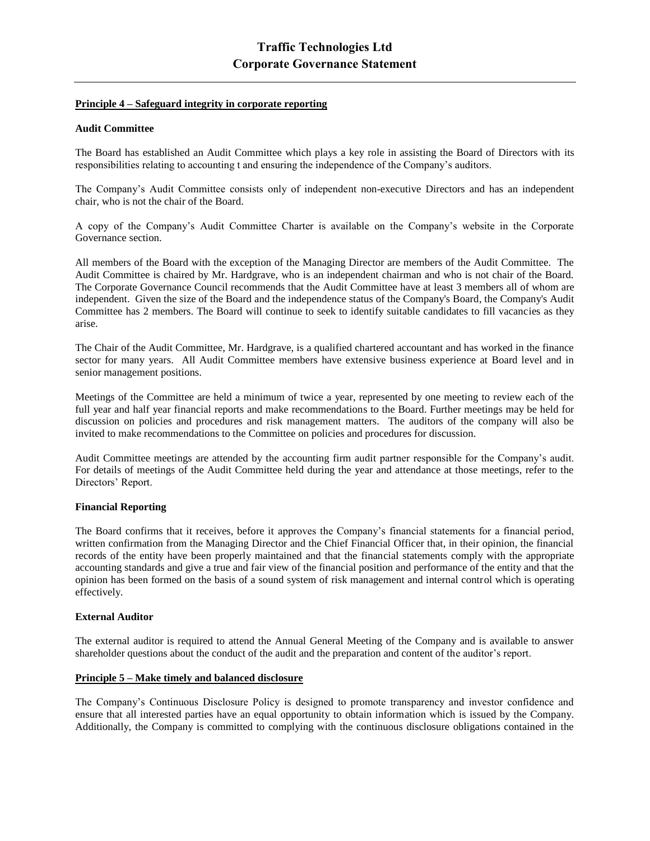## **Principle 4 – Safeguard integrity in corporate reporting**

## **Audit Committee**

The Board has established an Audit Committee which plays a key role in assisting the Board of Directors with its responsibilities relating to accounting t and ensuring the independence of the Company's auditors.

The Company's Audit Committee consists only of independent non-executive Directors and has an independent chair, who is not the chair of the Board.

A copy of the Company's Audit Committee Charter is available on the Company's website in the Corporate Governance section.

All members of the Board with the exception of the Managing Director are members of the Audit Committee. The Audit Committee is chaired by Mr. Hardgrave, who is an independent chairman and who is not chair of the Board. The Corporate Governance Council recommends that the Audit Committee have at least 3 members all of whom are independent. Given the size of the Board and the independence status of the Company's Board, the Company's Audit Committee has 2 members. The Board will continue to seek to identify suitable candidates to fill vacancies as they arise.

The Chair of the Audit Committee, Mr. Hardgrave, is a qualified chartered accountant and has worked in the finance sector for many years. All Audit Committee members have extensive business experience at Board level and in senior management positions.

Meetings of the Committee are held a minimum of twice a year, represented by one meeting to review each of the full year and half year financial reports and make recommendations to the Board. Further meetings may be held for discussion on policies and procedures and risk management matters. The auditors of the company will also be invited to make recommendations to the Committee on policies and procedures for discussion.

Audit Committee meetings are attended by the accounting firm audit partner responsible for the Company's audit. For details of meetings of the Audit Committee held during the year and attendance at those meetings, refer to the Directors' Report.

## **Financial Reporting**

The Board confirms that it receives, before it approves the Company's financial statements for a financial period, written confirmation from the Managing Director and the Chief Financial Officer that, in their opinion, the financial records of the entity have been properly maintained and that the financial statements comply with the appropriate accounting standards and give a true and fair view of the financial position and performance of the entity and that the opinion has been formed on the basis of a sound system of risk management and internal control which is operating effectively.

# **External Auditor**

The external auditor is required to attend the Annual General Meeting of the Company and is available to answer shareholder questions about the conduct of the audit and the preparation and content of the auditor's report.

# **Principle 5 – Make timely and balanced disclosure**

The Company's Continuous Disclosure Policy is designed to promote transparency and investor confidence and ensure that all interested parties have an equal opportunity to obtain information which is issued by the Company. Additionally, the Company is committed to complying with the continuous disclosure obligations contained in the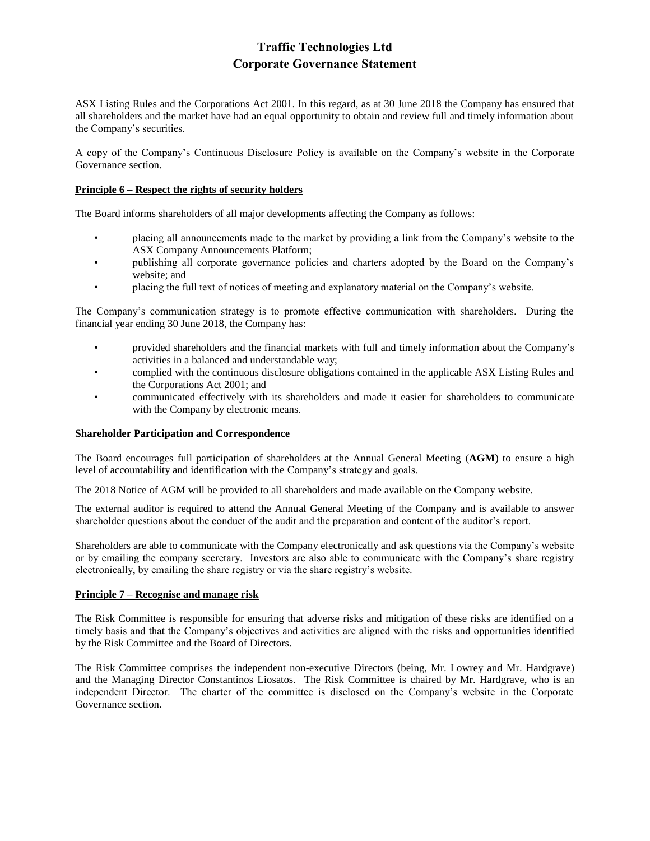ASX Listing Rules and the Corporations Act 2001. In this regard, as at 30 June 2018 the Company has ensured that all shareholders and the market have had an equal opportunity to obtain and review full and timely information about the Company's securities.

A copy of the Company's Continuous Disclosure Policy is available on the Company's website in the Corporate Governance section.

# **Principle 6 – Respect the rights of security holders**

The Board informs shareholders of all major developments affecting the Company as follows:

- placing all announcements made to the market by providing a link from the Company's website to the ASX Company Announcements Platform;
- publishing all corporate governance policies and charters adopted by the Board on the Company's website; and
- placing the full text of notices of meeting and explanatory material on the Company's website.

The Company's communication strategy is to promote effective communication with shareholders. During the financial year ending 30 June 2018, the Company has:

- provided shareholders and the financial markets with full and timely information about the Company's activities in a balanced and understandable way;
- complied with the continuous disclosure obligations contained in the applicable ASX Listing Rules and the Corporations Act 2001; and
- communicated effectively with its shareholders and made it easier for shareholders to communicate with the Company by electronic means.

#### **Shareholder Participation and Correspondence**

The Board encourages full participation of shareholders at the Annual General Meeting (**AGM**) to ensure a high level of accountability and identification with the Company's strategy and goals.

The 2018 Notice of AGM will be provided to all shareholders and made available on the Company website.

The external auditor is required to attend the Annual General Meeting of the Company and is available to answer shareholder questions about the conduct of the audit and the preparation and content of the auditor's report.

Shareholders are able to communicate with the Company electronically and ask questions via the Company's website or by emailing the company secretary. Investors are also able to communicate with the Company's share registry electronically, by emailing the share registry or via the share registry's website.

## **Principle 7 – Recognise and manage risk**

The Risk Committee is responsible for ensuring that adverse risks and mitigation of these risks are identified on a timely basis and that the Company's objectives and activities are aligned with the risks and opportunities identified by the Risk Committee and the Board of Directors.

The Risk Committee comprises the independent non-executive Directors (being, Mr. Lowrey and Mr. Hardgrave) and the Managing Director Constantinos Liosatos. The Risk Committee is chaired by Mr. Hardgrave, who is an independent Director. The charter of the committee is disclosed on the Company's website in the Corporate Governance section.